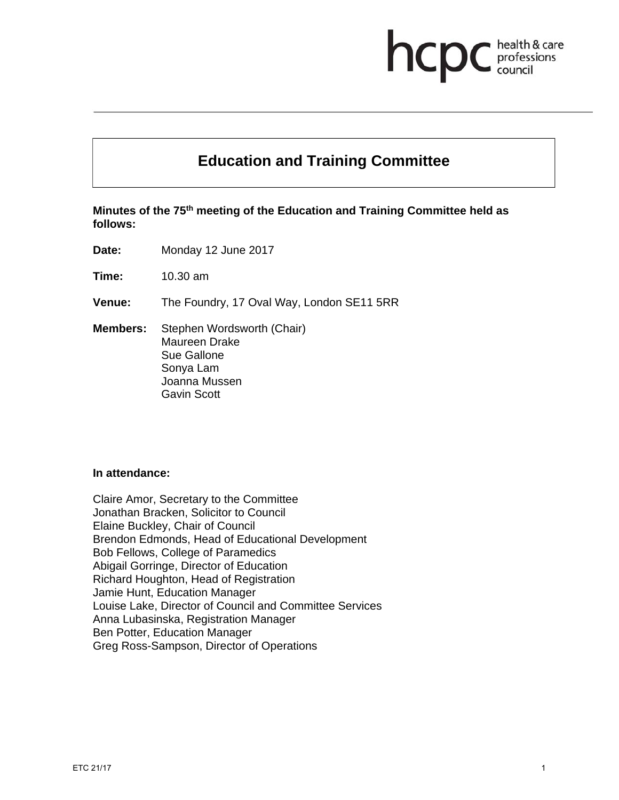# health & care hcp professions

# **Education and Training Committee**

**Minutes of the 75th meeting of the Education and Training Committee held as follows:** 

**Date:** Monday 12 June 2017

**Time:** 10.30 am

**Venue:** The Foundry, 17 Oval Way, London SE11 5RR

**Members:** Stephen Wordsworth (Chair) Maureen Drake Sue Gallone Sonya Lam Joanna Mussen Gavin Scott

#### **In attendance:**

Claire Amor, Secretary to the Committee Jonathan Bracken, Solicitor to Council Elaine Buckley, Chair of Council Brendon Edmonds, Head of Educational Development Bob Fellows, College of Paramedics Abigail Gorringe, Director of Education Richard Houghton, Head of Registration Jamie Hunt, Education Manager Louise Lake, Director of Council and Committee Services Anna Lubasinska, Registration Manager Ben Potter, Education Manager Greg Ross-Sampson, Director of Operations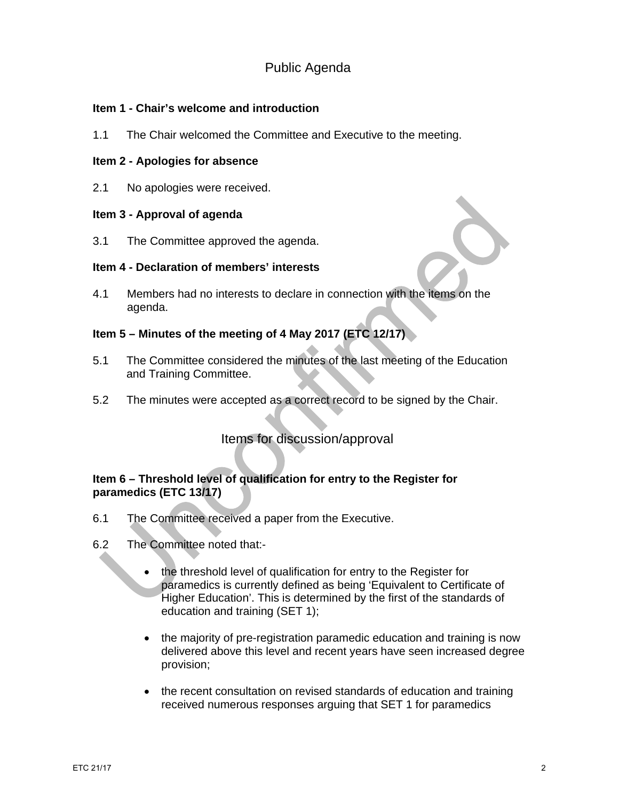# Public Agenda

## **Item 1 - Chair's welcome and introduction**

1.1 The Chair welcomed the Committee and Executive to the meeting.

## **Item 2 - Apologies for absence**

2.1 No apologies were received.

## **Item 3 - Approval of agenda**

3.1 The Committee approved the agenda.

## **Item 4 - Declaration of members' interests**

4.1 Members had no interests to declare in connection with the items on the agenda.

# **Item 5 – Minutes of the meeting of 4 May 2017 (ETC 12/17)**

- 5.1 The Committee considered the minutes of the last meeting of the Education and Training Committee.
- 5.2 The minutes were accepted as a correct record to be signed by the Chair.

# Items for discussion/approval

# **Item 6 – Threshold level of qualification for entry to the Register for paramedics (ETC 13/17)**

- 6.1 The Committee received a paper from the Executive.
- 6.2 The Committee noted that:
	- the threshold level of qualification for entry to the Register for paramedics is currently defined as being 'Equivalent to Certificate of Higher Education'. This is determined by the first of the standards of education and training (SET 1);
	- the majority of pre-registration paramedic education and training is now delivered above this level and recent years have seen increased degree provision;
	- the recent consultation on revised standards of education and training received numerous responses arguing that SET 1 for paramedics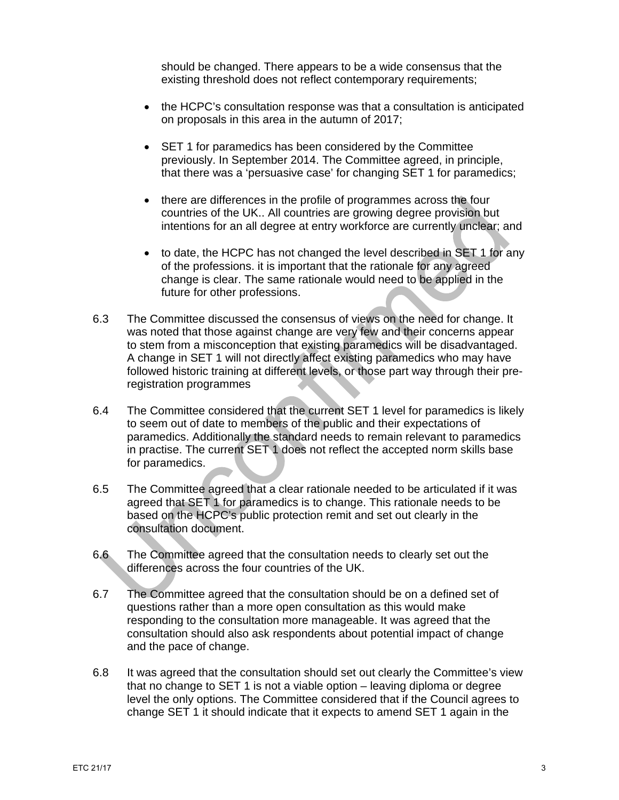should be changed. There appears to be a wide consensus that the existing threshold does not reflect contemporary requirements;

- the HCPC's consultation response was that a consultation is anticipated on proposals in this area in the autumn of 2017;
- SET 1 for paramedics has been considered by the Committee previously. In September 2014. The Committee agreed, in principle, that there was a 'persuasive case' for changing SET 1 for paramedics;
- there are differences in the profile of programmes across the four countries of the UK.. All countries are growing degree provision but intentions for an all degree at entry workforce are currently unclear; and
- to date, the HCPC has not changed the level described in SET 1 for any of the professions. it is important that the rationale for any agreed change is clear. The same rationale would need to be applied in the future for other professions.
- 6.3 The Committee discussed the consensus of views on the need for change. It was noted that those against change are very few and their concerns appear to stem from a misconception that existing paramedics will be disadvantaged. A change in SET 1 will not directly affect existing paramedics who may have followed historic training at different levels, or those part way through their preregistration programmes
- 6.4 The Committee considered that the current SET 1 level for paramedics is likely to seem out of date to members of the public and their expectations of paramedics. Additionally the standard needs to remain relevant to paramedics in practise. The current SET 1 does not reflect the accepted norm skills base for paramedics.
- 6.5 The Committee agreed that a clear rationale needed to be articulated if it was agreed that SET 1 for paramedics is to change. This rationale needs to be based on the HCPC's public protection remit and set out clearly in the consultation document.
- 6.6 The Committee agreed that the consultation needs to clearly set out the differences across the four countries of the UK.
- 6.7 The Committee agreed that the consultation should be on a defined set of questions rather than a more open consultation as this would make responding to the consultation more manageable. It was agreed that the consultation should also ask respondents about potential impact of change and the pace of change.
- 6.8 It was agreed that the consultation should set out clearly the Committee's view that no change to SET 1 is not a viable option – leaving diploma or degree level the only options. The Committee considered that if the Council agrees to change SET 1 it should indicate that it expects to amend SET 1 again in the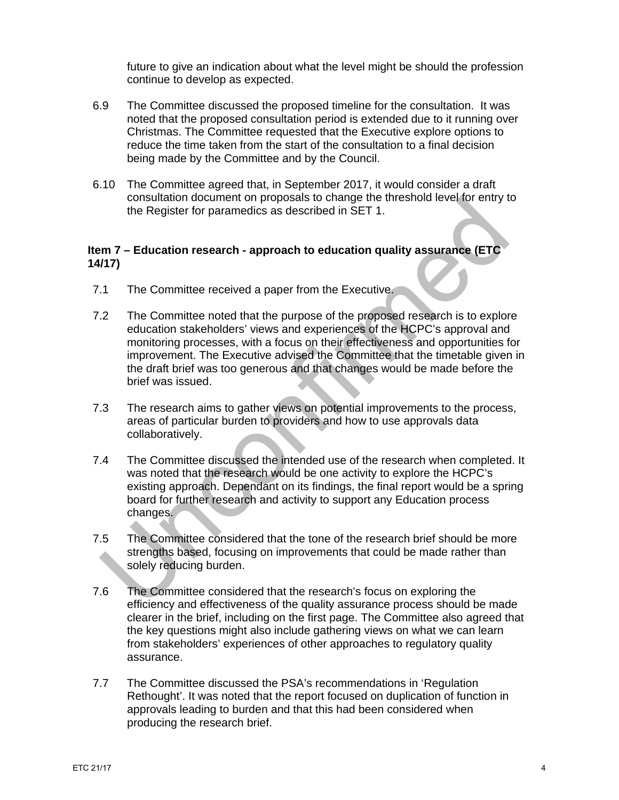future to give an indication about what the level might be should the profession continue to develop as expected.

- 6.9 The Committee discussed the proposed timeline for the consultation. It was noted that the proposed consultation period is extended due to it running over Christmas. The Committee requested that the Executive explore options to reduce the time taken from the start of the consultation to a final decision being made by the Committee and by the Council.
- 6.10 The Committee agreed that, in September 2017, it would consider a draft consultation document on proposals to change the threshold level for entry to the Register for paramedics as described in SET 1.

## **Item 7 – Education research - approach to education quality assurance (ETC 14/17)**

- 7.1 The Committee received a paper from the Executive.
- 7.2 The Committee noted that the purpose of the proposed research is to explore education stakeholders' views and experiences of the HCPC's approval and monitoring processes, with a focus on their effectiveness and opportunities for improvement. The Executive advised the Committee that the timetable given in the draft brief was too generous and that changes would be made before the brief was issued.
- 7.3 The research aims to gather views on potential improvements to the process, areas of particular burden to providers and how to use approvals data collaboratively.
- 7.4 The Committee discussed the intended use of the research when completed. It was noted that the research would be one activity to explore the HCPC's existing approach. Dependant on its findings, the final report would be a spring board for further research and activity to support any Education process changes.
- 7.5 The Committee considered that the tone of the research brief should be more strengths based, focusing on improvements that could be made rather than solely reducing burden.
- 7.6 The Committee considered that the research's focus on exploring the efficiency and effectiveness of the quality assurance process should be made clearer in the brief, including on the first page. The Committee also agreed that the key questions might also include gathering views on what we can learn from stakeholders' experiences of other approaches to regulatory quality assurance.
- 7.7 The Committee discussed the PSA's recommendations in 'Regulation Rethought'. It was noted that the report focused on duplication of function in approvals leading to burden and that this had been considered when producing the research brief.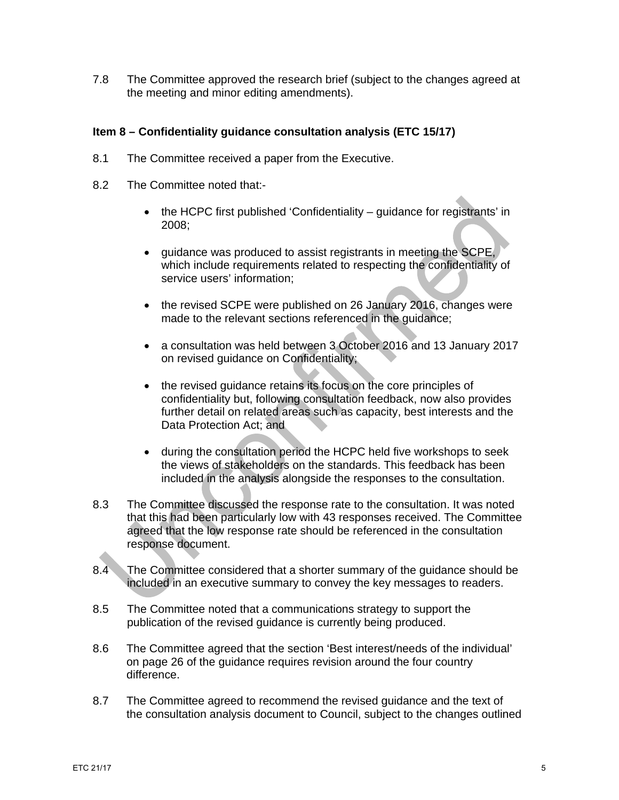7.8 The Committee approved the research brief (subject to the changes agreed at the meeting and minor editing amendments).

## **Item 8 – Confidentiality guidance consultation analysis (ETC 15/17)**

- 8.1 The Committee received a paper from the Executive.
- 8.2 The Committee noted that:-
	- $\bullet$  the HCPC first published 'Confidentiality guidance for registrants' in 2008;
	- guidance was produced to assist registrants in meeting the SCPE, which include requirements related to respecting the confidentiality of service users' information;
	- the revised SCPE were published on 26 January 2016, changes were made to the relevant sections referenced in the guidance;
	- a consultation was held between 3 October 2016 and 13 January 2017 on revised guidance on Confidentiality;
	- the revised guidance retains its focus on the core principles of confidentiality but, following consultation feedback, now also provides further detail on related areas such as capacity, best interests and the Data Protection Act; and
	- during the consultation period the HCPC held five workshops to seek the views of stakeholders on the standards. This feedback has been included in the analysis alongside the responses to the consultation.
- 8.3 The Committee discussed the response rate to the consultation. It was noted that this had been particularly low with 43 responses received. The Committee agreed that the low response rate should be referenced in the consultation response document.
- 8.4 The Committee considered that a shorter summary of the guidance should be included in an executive summary to convey the key messages to readers.
- 8.5 The Committee noted that a communications strategy to support the publication of the revised guidance is currently being produced.
- 8.6 The Committee agreed that the section 'Best interest/needs of the individual' on page 26 of the guidance requires revision around the four country difference.
- 8.7 The Committee agreed to recommend the revised guidance and the text of the consultation analysis document to Council, subject to the changes outlined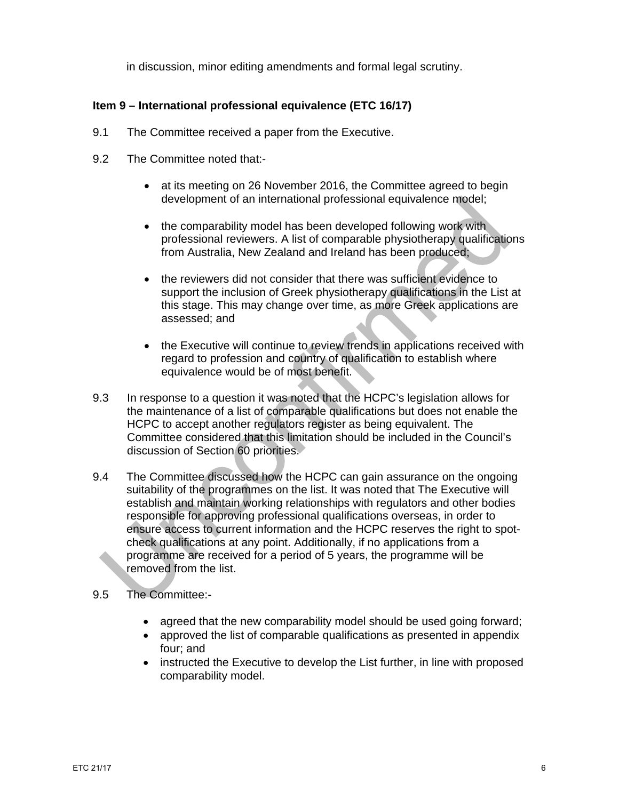in discussion, minor editing amendments and formal legal scrutiny.

# **Item 9 – International professional equivalence (ETC 16/17)**

- 9.1 The Committee received a paper from the Executive.
- 9.2 The Committee noted that:
	- at its meeting on 26 November 2016, the Committee agreed to begin development of an international professional equivalence model;
	- the comparability model has been developed following work with professional reviewers. A list of comparable physiotherapy qualifications from Australia, New Zealand and Ireland has been produced;
	- the reviewers did not consider that there was sufficient evidence to support the inclusion of Greek physiotherapy qualifications in the List at this stage. This may change over time, as more Greek applications are assessed; and
	- the Executive will continue to review trends in applications received with regard to profession and country of qualification to establish where equivalence would be of most benefit.
- 9.3 In response to a question it was noted that the HCPC's legislation allows for the maintenance of a list of comparable qualifications but does not enable the HCPC to accept another regulators register as being equivalent. The Committee considered that this limitation should be included in the Council's discussion of Section 60 priorities.
- 9.4 The Committee discussed how the HCPC can gain assurance on the ongoing suitability of the programmes on the list. It was noted that The Executive will establish and maintain working relationships with regulators and other bodies responsible for approving professional qualifications overseas, in order to ensure access to current information and the HCPC reserves the right to spotcheck qualifications at any point. Additionally, if no applications from a programme are received for a period of 5 years, the programme will be removed from the list.
- 9.5 The Committee:-
	- agreed that the new comparability model should be used going forward;
	- approved the list of comparable qualifications as presented in appendix four; and
	- instructed the Executive to develop the List further, in line with proposed comparability model.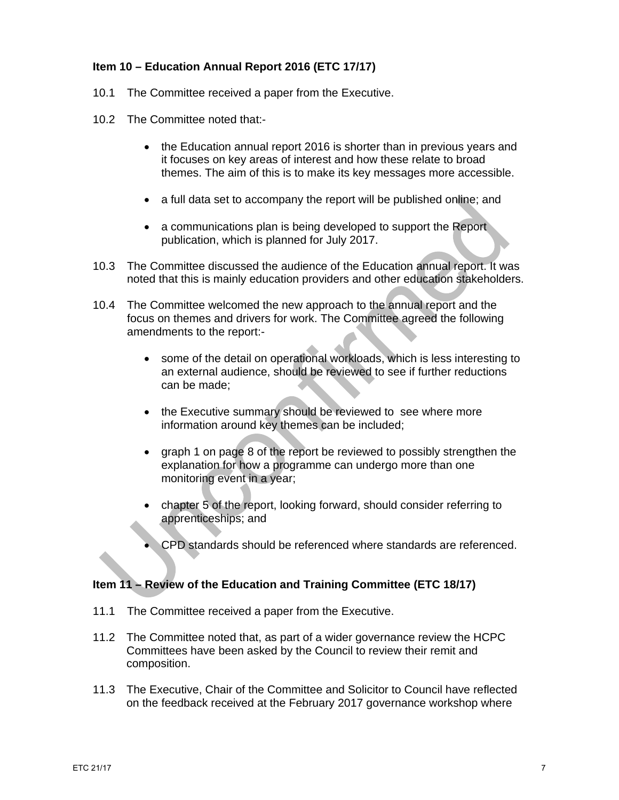# **Item 10 – Education Annual Report 2016 (ETC 17/17)**

- 10.1 The Committee received a paper from the Executive.
- 10.2 The Committee noted that:-
	- the Education annual report 2016 is shorter than in previous years and it focuses on key areas of interest and how these relate to broad themes. The aim of this is to make its key messages more accessible.
	- a full data set to accompany the report will be published online; and
	- a communications plan is being developed to support the Report publication, which is planned for July 2017.
- 10.3 The Committee discussed the audience of the Education annual report. It was noted that this is mainly education providers and other education stakeholders.
- 10.4 The Committee welcomed the new approach to the annual report and the focus on themes and drivers for work. The Committee agreed the following amendments to the report:
	- some of the detail on operational workloads, which is less interesting to an external audience, should be reviewed to see if further reductions can be made;
	- the Executive summary should be reviewed to see where more information around key themes can be included;
	- graph 1 on page 8 of the report be reviewed to possibly strengthen the explanation for how a programme can undergo more than one monitoring event in a year;
	- chapter 5 of the report, looking forward, should consider referring to apprenticeships; and
	- CPD standards should be referenced where standards are referenced.

## **Item 11 – Review of the Education and Training Committee (ETC 18/17)**

- 11.1 The Committee received a paper from the Executive.
- 11.2 The Committee noted that, as part of a wider governance review the HCPC Committees have been asked by the Council to review their remit and composition.
- 11.3 The Executive, Chair of the Committee and Solicitor to Council have reflected on the feedback received at the February 2017 governance workshop where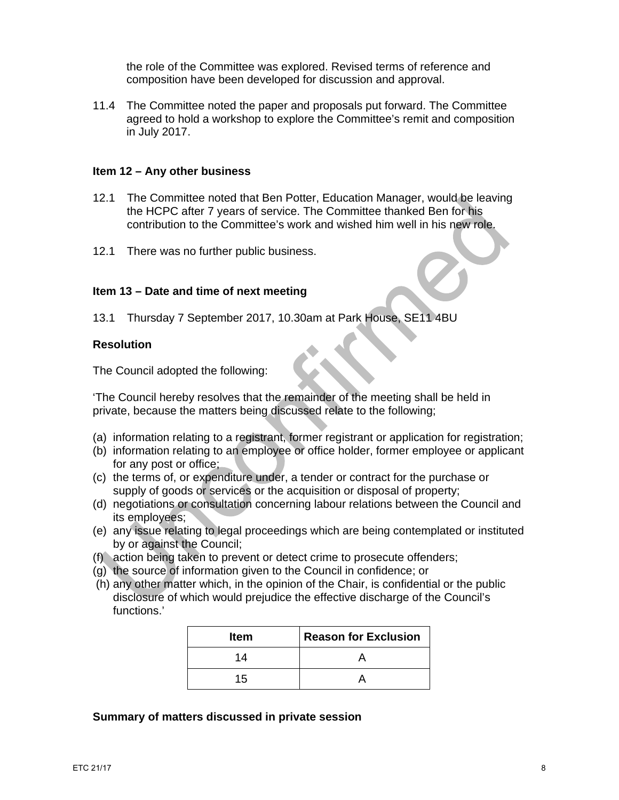the role of the Committee was explored. Revised terms of reference and composition have been developed for discussion and approval.

11.4 The Committee noted the paper and proposals put forward. The Committee agreed to hold a workshop to explore the Committee's remit and composition in July 2017.

#### **Item 12 – Any other business**

- 12.1 The Committee noted that Ben Potter, Education Manager, would be leaving the HCPC after 7 years of service. The Committee thanked Ben for his contribution to the Committee's work and wished him well in his new role.
- 12.1 There was no further public business.

#### **Item 13 – Date and time of next meeting**

13.1 Thursday 7 September 2017, 10.30am at Park House, SE11 4BU

#### **Resolution**

The Council adopted the following:

'The Council hereby resolves that the remainder of the meeting shall be held in private, because the matters being discussed relate to the following;

- (a) information relating to a registrant, former registrant or application for registration;
- (b) information relating to an employee or office holder, former employee or applicant for any post or office;
- (c) the terms of, or expenditure under, a tender or contract for the purchase or supply of goods or services or the acquisition or disposal of property;
- (d) negotiations or consultation concerning labour relations between the Council and its employees;
- (e) any issue relating to legal proceedings which are being contemplated or instituted by or against the Council;
- (f) action being taken to prevent or detect crime to prosecute offenders;
- (g) the source of information given to the Council in confidence; or
- (h) any other matter which, in the opinion of the Chair, is confidential or the public disclosure of which would prejudice the effective discharge of the Council's functions.'

| <b>Item</b> | <b>Reason for Exclusion</b> |
|-------------|-----------------------------|
| 14          |                             |
| 15          |                             |

#### **Summary of matters discussed in private session**